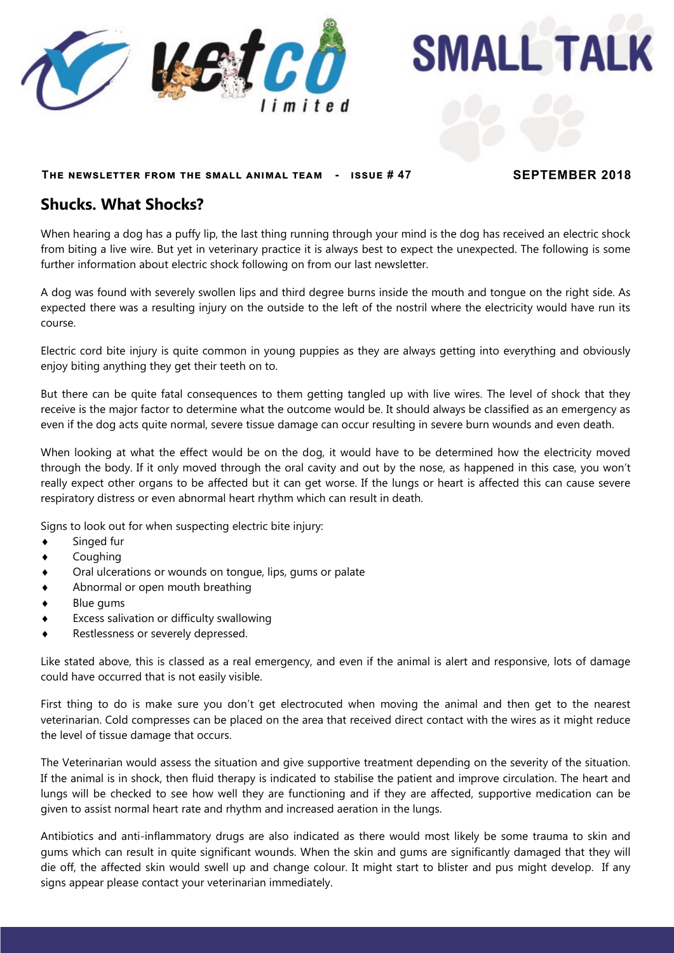

**SMALL TALK** 

#### **The newsletter from the small animal team - issue # 47 SEPTEMBER 2018**

#### **Shucks. What Shocks?**

When hearing a dog has a puffy lip, the last thing running through your mind is the dog has received an electric shock from biting a live wire. But yet in veterinary practice it is always best to expect the unexpected. The following is some further information about electric shock following on from our last newsletter.

A dog was found with severely swollen lips and third degree burns inside the mouth and tongue on the right side. As expected there was a resulting injury on the outside to the left of the nostril where the electricity would have run its course.

Electric cord bite injury is quite common in young puppies as they are always getting into everything and obviously enjoy biting anything they get their teeth on to.

But there can be quite fatal consequences to them getting tangled up with live wires. The level of shock that they receive is the major factor to determine what the outcome would be. It should always be classified as an emergency as even if the dog acts quite normal, severe tissue damage can occur resulting in severe burn wounds and even death.

When looking at what the effect would be on the dog, it would have to be determined how the electricity moved through the body. If it only moved through the oral cavity and out by the nose, as happened in this case, you won't really expect other organs to be affected but it can get worse. If the lungs or heart is affected this can cause severe respiratory distress or even abnormal heart rhythm which can result in death.

Signs to look out for when suspecting electric bite injury:

- Singed fur
- Coughing
- Oral ulcerations or wounds on tongue, lips, gums or palate
- Abnormal or open mouth breathing
- Blue gums
- Excess salivation or difficulty swallowing
- Restlessness or severely depressed.

Like stated above, this is classed as a real emergency, and even if the animal is alert and responsive, lots of damage could have occurred that is not easily visible.

First thing to do is make sure you don't get electrocuted when moving the animal and then get to the nearest veterinarian. Cold compresses can be placed on the area that received direct contact with the wires as it might reduce the level of tissue damage that occurs.

The Veterinarian would assess the situation and give supportive treatment depending on the severity of the situation. If the animal is in shock, then fluid therapy is indicated to stabilise the patient and improve circulation. The heart and lungs will be checked to see how well they are functioning and if they are affected, supportive medication can be given to assist normal heart rate and rhythm and increased aeration in the lungs.

Antibiotics and anti-inflammatory drugs are also indicated as there would most likely be some trauma to skin and gums which can result in quite significant wounds. When the skin and gums are significantly damaged that they will die off, the affected skin would swell up and change colour. It might start to blister and pus might develop. If any signs appear please contact your veterinarian immediately.